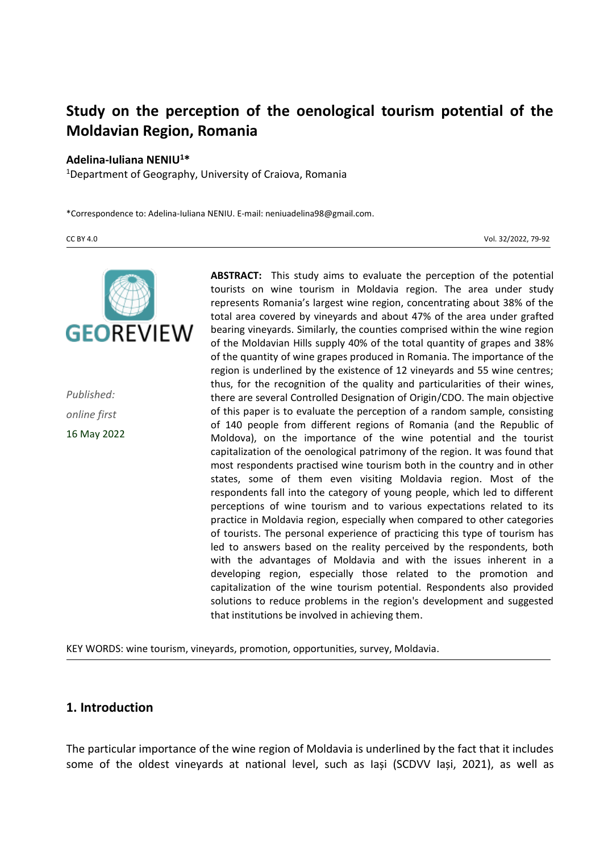# **Study on the perception of the oenological tourism potential of the Moldavian Region, Romania**

#### **Adelina-Iuliana NENIU<sup>1</sup>\***

<sup>1</sup>Department of Geography, University of Craiova, Romania

\*Correspondence to: Adelina-Iuliana NENIU. E-mail: neniuadelina98@gmail.com.

CC BY 4.0 Vol. 32/2022, 79-92



*Published: online first* 16 May 2022

**ABSTRACT:** This study aims to evaluate the perception of the potential tourists on wine tourism in Moldavia region. The area under study represents Romania's largest wine region, concentrating about 38% of the total area covered by vineyards and about 47% of the area under grafted bearing vineyards. Similarly, the counties comprised within the wine region of the Moldavian Hills supply 40% of the total quantity of grapes and 38% of the quantity of wine grapes produced in Romania. The importance of the region is underlined by the existence of 12 vineyards and 55 wine centres; thus, for the recognition of the quality and particularities of their wines, there are several Controlled Designation of Origin/CDO. The main objective of this paper is to evaluate the perception of a random sample, consisting of 140 people from different regions of Romania (and the Republic of Moldova), on the importance of the wine potential and the tourist capitalization of the oenological patrimony of the region. It was found that most respondents practised wine tourism both in the country and in other states, some of them even visiting Moldavia region. Most of the respondents fall into the category of young people, which led to different perceptions of wine tourism and to various expectations related to its practice in Moldavia region, especially when compared to other categories of tourists. The personal experience of practicing this type of tourism has led to answers based on the reality perceived by the respondents, both with the advantages of Moldavia and with the issues inherent in a developing region, especially those related to the promotion and capitalization of the wine tourism potential. Respondents also provided solutions to reduce problems in the region's development and suggested that institutions be involved in achieving them.

KEY WORDS: wine tourism, vineyards, promotion, opportunities, survey, Moldavia.

#### **1. Introduction**

The particular importance of the wine region of Moldavia is underlined by the fact that it includes some of the oldest vineyards at national level, such as Iași (SCDVV Iași, 2021), as well as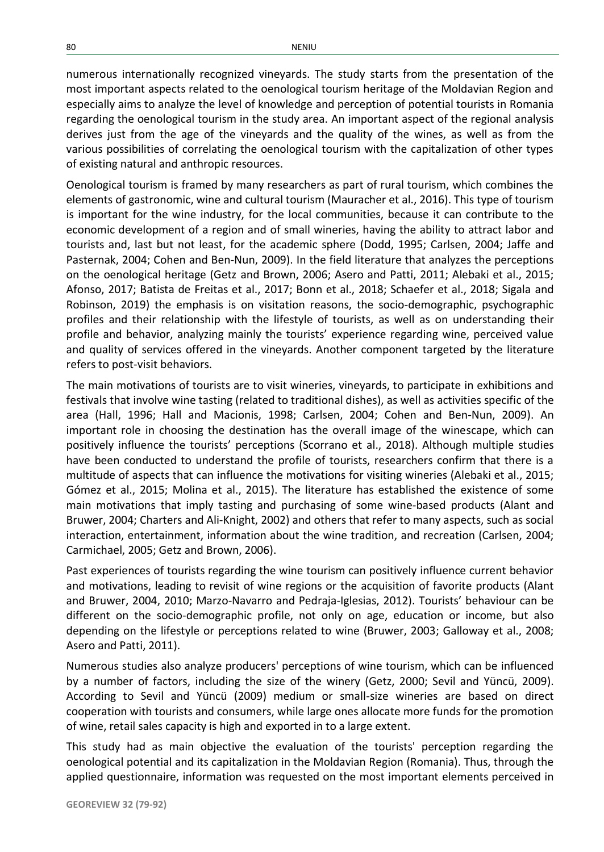numerous internationally recognized vineyards. The study starts from the presentation of the most important aspects related to the oenological tourism heritage of the Moldavian Region and especially aims to analyze the level of knowledge and perception of potential tourists in Romania regarding the oenological tourism in the study area. An important aspect of the regional analysis derives just from the age of the vineyards and the quality of the wines, as well as from the various possibilities of correlating the oenological tourism with the capitalization of other types of existing natural and anthropic resources.

Oenological tourism is framed by many researchers as part of rural tourism, which combines the elements of gastronomic, wine and cultural tourism (Mauracher et al., 2016). This type of tourism is important for the wine industry, for the local communities, because it can contribute to the economic development of a region and of small wineries, having the ability to attract labor and tourists and, last but not least, for the academic sphere (Dodd, 1995; Carlsen, 2004; Jaffe and Pasternak, 2004; Cohen and Ben-Nun, 2009). In the field literature that analyzes the perceptions on the oenological heritage (Getz and Brown, 2006; Asero and Patti, 2011; Alebaki et al., 2015; Afonso, 2017; Batista de Freitas et al., 2017; Bonn et al., 2018; Schaefer et al., 2018; Sigala and Robinson, 2019) the emphasis is on visitation reasons, the socio-demographic, psychographic profiles and their relationship with the lifestyle of tourists, as well as on understanding their profile and behavior, analyzing mainly the tourists' experience regarding wine, perceived value and quality of services offered in the vineyards. Another component targeted by the literature refers to post-visit behaviors.

The main motivations of tourists are to visit wineries, vineyards, to participate in exhibitions and festivals that involve wine tasting (related to traditional dishes), as well as activities specific of the area (Hall, 1996; Hall and Macionis, 1998; Carlsen, 2004; Cohen and Ben-Nun, 2009). An important role in choosing the destination has the overall image of the winescape, which can positively influence the tourists' perceptions (Scorrano et al., 2018). Although multiple studies have been conducted to understand the profile of tourists, researchers confirm that there is a multitude of aspects that can influence the motivations for visiting wineries (Alebaki et al., 2015; Gómez et al., 2015; Molina et al., 2015). The literature has established the existence of some main motivations that imply tasting and purchasing of some wine-based products (Alant and Bruwer, 2004; Charters and Ali-Knight, 2002) and others that refer to many aspects, such as social interaction, entertainment, information about the wine tradition, and recreation (Carlsen, 2004; Carmichael, 2005; Getz and Brown, 2006).

Past experiences of tourists regarding the wine tourism can positively influence current behavior and motivations, leading to revisit of wine regions or the acquisition of favorite products (Alant and Bruwer, 2004, 2010; Marzo-Navarro and Pedraja-Iglesias, 2012). Tourists' behaviour can be different on the socio-demographic profile, not only on age, education or income, but also depending on the lifestyle or perceptions related to wine (Bruwer, 2003; Galloway et al., 2008; Asero and Patti, 2011).

Numerous studies also analyze producers' perceptions of wine tourism, which can be influenced by a number of factors, including the size of the winery (Getz, 2000; Sevil and Yüncü, 2009). According to Sevil and Yüncü (2009) medium or small-size wineries are based on direct cooperation with tourists and consumers, while large ones allocate more funds for the promotion of wine, retail sales capacity is high and exported in to a large extent.

This study had as main objective the evaluation of the tourists' perception regarding the oenological potential and its capitalization in the Moldavian Region (Romania). Thus, through the applied questionnaire, information was requested on the most important elements perceived in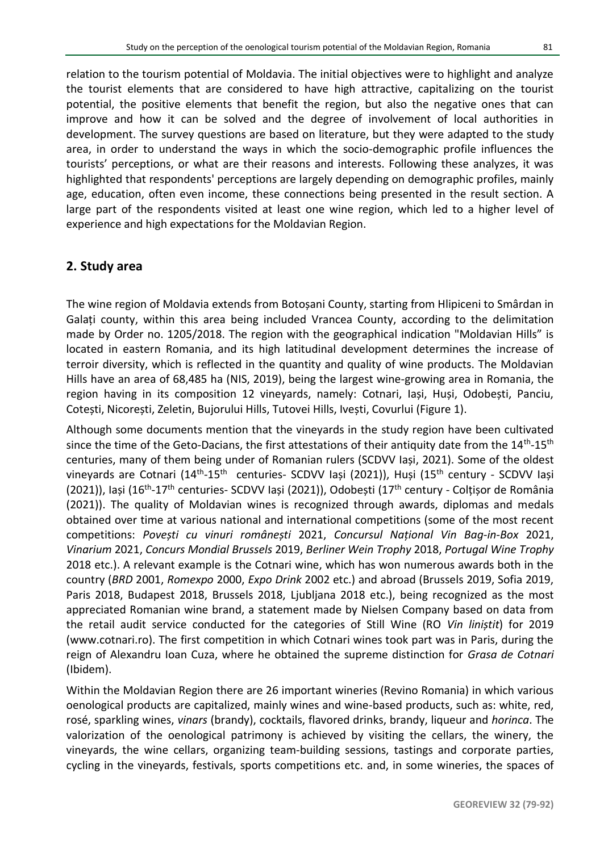relation to the tourism potential of Moldavia. The initial objectives were to highlight and analyze the tourist elements that are considered to have high attractive, capitalizing on the tourist potential, the positive elements that benefit the region, but also the negative ones that can improve and how it can be solved and the degree of involvement of local authorities in development. The survey questions are based on literature, but they were adapted to the study area, in order to understand the ways in which the socio-demographic profile influences the tourists' perceptions, or what are their reasons and interests. Following these analyzes, it was highlighted that respondents' perceptions are largely depending on demographic profiles, mainly age, education, often even income, these connections being presented in the result section. A large part of the respondents visited at least one wine region, which led to a higher level of experience and high expectations for the Moldavian Region.

#### **2. Study area**

The wine region of Moldavia extends from Botoșani County, starting from Hlipiceni to Smârdan in Galați county, within this area being included Vrancea County, according to the delimitation made by Order no. 1205/2018. The region with the geographical indication "Moldavian Hills" is located in eastern Romania, and its high latitudinal development determines the increase of terroir diversity, which is reflected in the quantity and quality of wine products. The Moldavian Hills have an area of 68,485 ha (NIS, 2019), being the largest wine-growing area in Romania, the region having in its composition 12 vineyards, namely: Cotnari, Iași, Huși, Odobești, Panciu, Cotești, Nicorești, Zeletin, Bujorului Hills, Tutovei Hills, Ivești, Covurlui (Figure 1).

Although some documents mention that the vineyards in the study region have been cultivated since the time of the Geto-Dacians, the first attestations of their antiquity date from the  $14^{\text{th}}$ - $15^{\text{th}}$ centuries, many of them being under of Romanian rulers (SCDVV Iași, 2021). Some of the oldest vineyards are Cotnari (14<sup>th</sup>-15<sup>th</sup> centuries- SCDVV Iași (2021)), Huși (15<sup>th</sup> century - SCDVV Iași (2021)), Iași (16<sup>th</sup>-17<sup>th</sup> centuries- SCDVV Iași (2021)), Odobești (17<sup>th</sup> century - Colțișor de România (2021)). The quality of Moldavian wines is recognized through awards, diplomas and medals obtained over time at various national and international competitions (some of the most recent competitions: *Povești cu vinuri românești* 2021, *Concursul Național Vin Bag-in-Box* 2021, *Vinarium* 2021, *Concurs Mondial Brussels* 2019, *Berliner Wein Trophy* 2018, *Portugal Wine Trophy* 2018 etc.). A relevant example is the Cotnari wine, which has won numerous awards both in the country (*BRD* 2001, *Romexpo* 2000, *Expo Drink* 2002 etc.) and abroad (Brussels 2019, Sofia 2019, Paris 2018, Budapest 2018, Brussels 2018, Ljubljana 2018 etc.), being recognized as the most appreciated Romanian wine brand, a statement made by Nielsen Company based on data from the retail audit service conducted for the categories of Still Wine (RO *Vin liniștit*) for 2019 (www.cotnari.ro). The first competition in which Cotnari wines took part was in Paris, during the reign of Alexandru Ioan Cuza, where he obtained the supreme distinction for *Grasa de Cotnari* (Ibidem).

Within the Moldavian Region there are 26 important wineries (Revino Romania) in which various oenological products are capitalized, mainly wines and wine-based products, such as: white, red, rosé, sparkling wines, *vinars* (brandy), cocktails, flavored drinks, brandy, liqueur and *horinca*. The valorization of the oenological patrimony is achieved by visiting the cellars, the winery, the vineyards, the wine cellars, organizing team-building sessions, tastings and corporate parties, cycling in the vineyards, festivals, sports competitions etc. and, in some wineries, the spaces of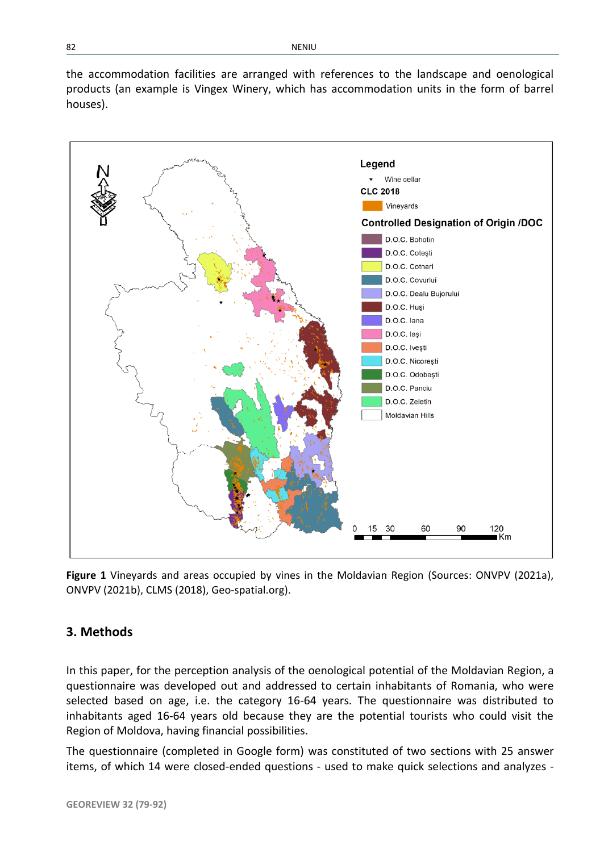the accommodation facilities are arranged with references to the landscape and oenological products (an example is Vingex Winery, which has accommodation units in the form of barrel houses).



**Figure 1** Vineyards and areas occupied by vines in the Moldavian Region (Sources: ONVPV (2021a), ONVPV (2021b), CLMS (2018), Geo-spatial.org).

## **3. Methods**

In this paper, for the perception analysis of the oenological potential of the Moldavian Region, a questionnaire was developed out and addressed to certain inhabitants of Romania, who were selected based on age, i.e. the category 16-64 years. The questionnaire was distributed to inhabitants aged 16-64 years old because they are the potential tourists who could visit the Region of Moldova, having financial possibilities.

The questionnaire (completed in Google form) was constituted of two sections with 25 answer items, of which 14 were closed-ended questions - used to make quick selections and analyzes -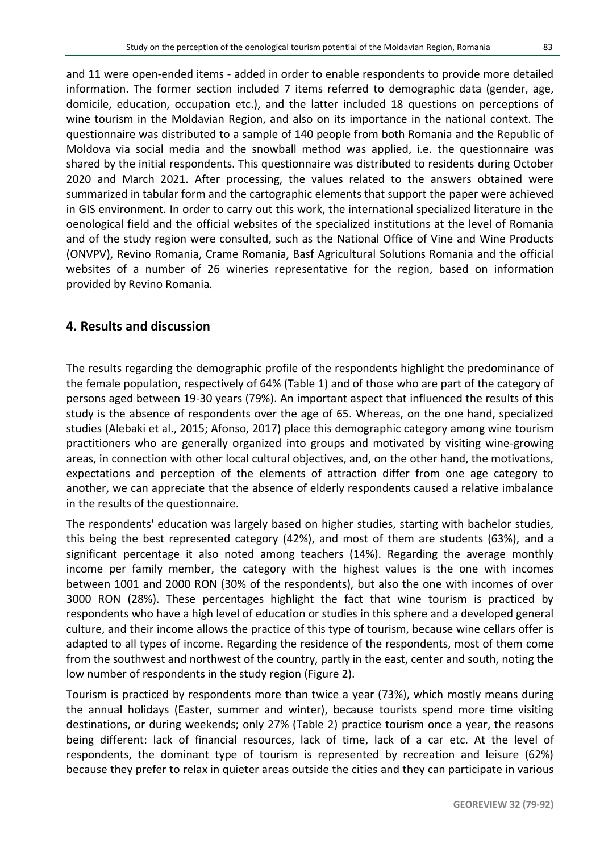and 11 were open-ended items - added in order to enable respondents to provide more detailed information. The former section included 7 items referred to demographic data (gender, age, domicile, education, occupation etc.), and the latter included 18 questions on perceptions of wine tourism in the Moldavian Region, and also on its importance in the national context. The questionnaire was distributed to a sample of 140 people from both Romania and the Republic of Moldova via social media and the snowball method was applied, i.e. the questionnaire was shared by the initial respondents. This questionnaire was distributed to residents during October 2020 and March 2021. After processing, the values related to the answers obtained were summarized in tabular form and the cartographic elements that support the paper were achieved in GIS environment. In order to carry out this work, the international specialized literature in the oenological field and the official websites of the specialized institutions at the level of Romania and of the study region were consulted, such as the National Office of Vine and Wine Products (ONVPV), Revino Romania, Crame Romania, Basf Agricultural Solutions Romania and the official websites of a number of 26 wineries representative for the region, based on information provided by Revino Romania.

## **4. Results and discussion**

The results regarding the demographic profile of the respondents highlight the predominance of the female population, respectively of 64% (Table 1) and of those who are part of the category of persons aged between 19-30 years (79%). An important aspect that influenced the results of this study is the absence of respondents over the age of 65. Whereas, on the one hand, specialized studies (Alebaki et al., 2015; Afonso, 2017) place this demographic category among wine tourism practitioners who are generally organized into groups and motivated by visiting wine-growing areas, in connection with other local cultural objectives, and, on the other hand, the motivations, expectations and perception of the elements of attraction differ from one age category to another, we can appreciate that the absence of elderly respondents caused a relative imbalance in the results of the questionnaire.

The respondents' education was largely based on higher studies, starting with bachelor studies, this being the best represented category (42%), and most of them are students (63%), and a significant percentage it also noted among teachers (14%). Regarding the average monthly income per family member, the category with the highest values is the one with incomes between 1001 and 2000 RON (30% of the respondents), but also the one with incomes of over 3000 RON (28%). These percentages highlight the fact that wine tourism is practiced by respondents who have a high level of education or studies in this sphere and a developed general culture, and their income allows the practice of this type of tourism, because wine cellars offer is adapted to all types of income. Regarding the residence of the respondents, most of them come from the southwest and northwest of the country, partly in the east, center and south, noting the low number of respondents in the study region (Figure 2).

Tourism is practiced by respondents more than twice a year (73%), which mostly means during the annual holidays (Easter, summer and winter), because tourists spend more time visiting destinations, or during weekends; only 27% (Table 2) practice tourism once a year, the reasons being different: lack of financial resources, lack of time, lack of a car etc. At the level of respondents, the dominant type of tourism is represented by recreation and leisure (62%) because they prefer to relax in quieter areas outside the cities and they can participate in various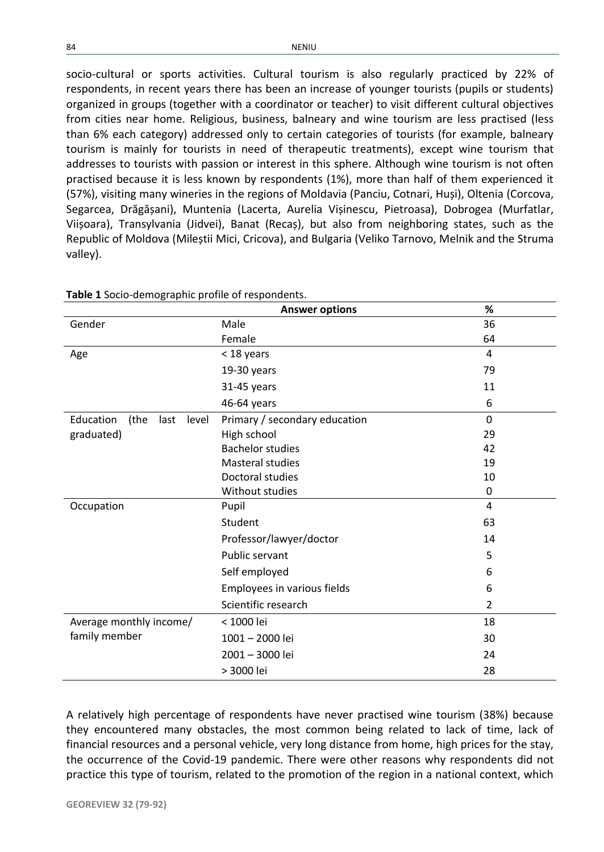socio-cultural or sports activities. Cultural tourism is also regularly practiced by 22% of respondents, in recent years there has been an increase of younger tourists (pupils or students) organized in groups (together with a coordinator or teacher) to visit different cultural objectives from cities near home. Religious, business, balneary and wine tourism are less practised (less than 6% each category) addressed only to certain categories of tourists (for example, balneary tourism is mainly for tourists in need of therapeutic treatments), except wine tourism that addresses to tourists with passion or interest in this sphere. Although wine tourism is not often practised because it is less known by respondents (1%), more than half of them experienced it (57%), visiting many wineries in the regions of Moldavia (Panciu, Cotnari, Huși), Oltenia (Corcova, Segarcea, Drăgășani), Muntenia (Lacerta, Aurelia Vișinescu, Pietroasa), Dobrogea (Murfatlar, Viișoara), Transylvania (Jidvei), Banat (Recaș), but also from neighboring states, such as the Republic of Moldova (Mileștii Mici, Cricova), and Bulgaria (Veliko Tarnovo, Melnik and the Struma valley).

|                                    | <b>Answer options</b>         | %              |
|------------------------------------|-------------------------------|----------------|
| Gender                             | Male                          | 36             |
|                                    | Female                        | 64             |
| Age                                | < 18 years                    | 4              |
|                                    | 19-30 years                   | 79             |
|                                    | 31-45 years                   | 11             |
|                                    | 46-64 years                   | 6              |
| Education<br>(the<br>last<br>level | Primary / secondary education | $\Omega$       |
| graduated)                         | High school                   | 29             |
|                                    | <b>Bachelor studies</b>       | 42             |
|                                    | <b>Masteral studies</b>       | 19             |
|                                    | Doctoral studies              | 10             |
|                                    | Without studies               | 0              |
| Occupation                         | Pupil                         | $\overline{4}$ |
|                                    | Student                       | 63             |
|                                    | Professor/lawyer/doctor       | 14             |
|                                    | Public servant                | 5              |
|                                    | Self employed                 | 6              |
|                                    | Employees in various fields   | 6              |
|                                    | Scientific research           | $\overline{2}$ |
| Average monthly income/            | < 1000 lei                    | 18             |
| family member                      | 1001-2000 lei                 | 30             |
|                                    | 2001 - 3000 lei               | 24             |
|                                    | > 3000 lei                    | 28             |

**Table 1** Socio-demographic profile of respondents.

A relatively high percentage of respondents have never practised wine tourism (38%) because they encountered many obstacles, the most common being related to lack of time, lack of financial resources and a personal vehicle, very long distance from home, high prices for the stay, the occurrence of the Covid-19 pandemic. There were other reasons why respondents did not practice this type of tourism, related to the promotion of the region in a national context, which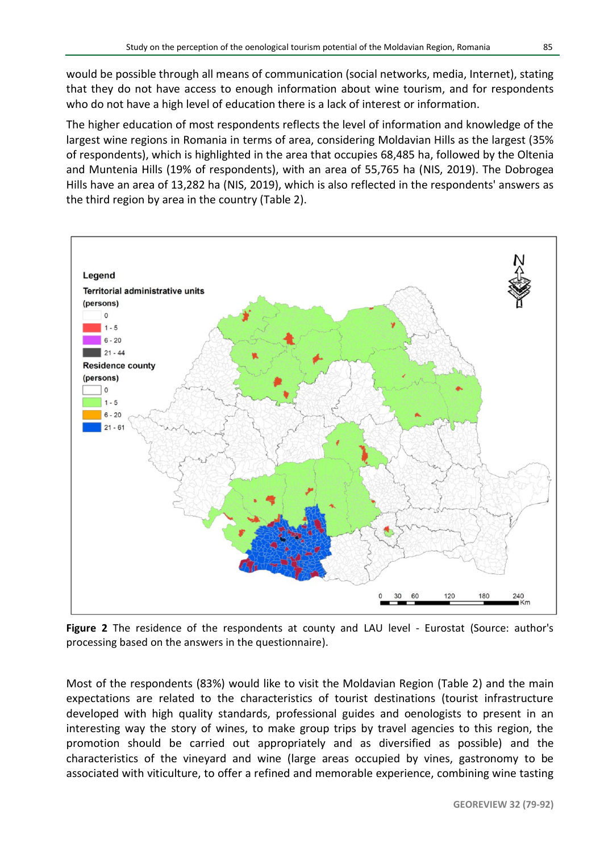would be possible through all means of communication (social networks, media, Internet), stating that they do not have access to enough information about wine tourism, and for respondents who do not have a high level of education there is a lack of interest or information.

The higher education of most respondents reflects the level of information and knowledge of the largest wine regions in Romania in terms of area, considering Moldavian Hills as the largest (35% of respondents), which is highlighted in the area that occupies 68,485 ha, followed by the Oltenia and Muntenia Hills (19% of respondents), with an area of 55,765 ha (NIS, 2019). The Dobrogea Hills have an area of 13,282 ha (NIS, 2019), which is also reflected in the respondents' answers as the third region by area in the country (Table 2).



**Figure 2** The residence of the respondents at county and LAU level - Eurostat (Source: author's processing based on the answers in the questionnaire).

Most of the respondents (83%) would like to visit the Moldavian Region (Table 2) and the main expectations are related to the characteristics of tourist destinations (tourist infrastructure developed with high quality standards, professional guides and oenologists to present in an interesting way the story of wines, to make group trips by travel agencies to this region, the promotion should be carried out appropriately and as diversified as possible) and the characteristics of the vineyard and wine (large areas occupied by vines, gastronomy to be associated with viticulture, to offer a refined and memorable experience, combining wine tasting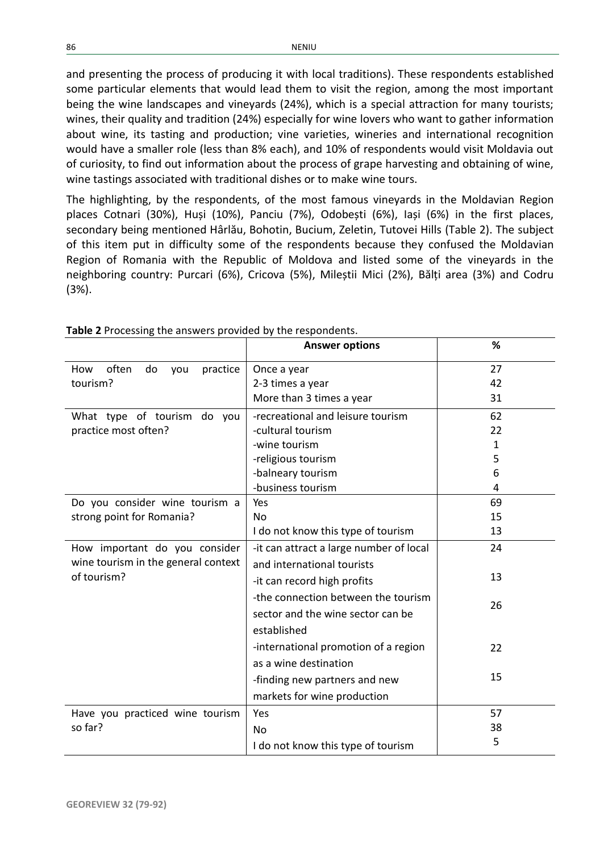and presenting the process of producing it with local traditions). These respondents established some particular elements that would lead them to visit the region, among the most important being the wine landscapes and vineyards (24%), which is a special attraction for many tourists; wines, their quality and tradition (24%) especially for wine lovers who want to gather information about wine, its tasting and production; vine varieties, wineries and international recognition would have a smaller role (less than 8% each), and 10% of respondents would visit Moldavia out of curiosity, to find out information about the process of grape harvesting and obtaining of wine, wine tastings associated with traditional dishes or to make wine tours.

The highlighting, by the respondents, of the most famous vineyards in the Moldavian Region places Cotnari (30%), Huși (10%), Panciu (7%), Odobești (6%), Iași (6%) in the first places, secondary being mentioned Hârlău, Bohotin, Bucium, Zeletin, Tutovei Hills (Table 2). The subject of this item put in difficulty some of the respondents because they confused the Moldavian Region of Romania with the Republic of Moldova and listed some of the vineyards in the neighboring country: Purcari (6%), Cricova (5%), Mileștii Mici (2%), Bălți area (3%) and Codru (3%).

|                                                                                     | <b>Answer options</b>                   | %  |
|-------------------------------------------------------------------------------------|-----------------------------------------|----|
| often<br>practice<br>How<br>do<br>you<br>tourism?                                   | Once a year                             | 27 |
|                                                                                     | 2-3 times a year                        | 42 |
|                                                                                     | More than 3 times a year                | 31 |
| What type of tourism do you<br>practice most often?                                 | -recreational and leisure tourism       | 62 |
|                                                                                     | -cultural tourism                       | 22 |
|                                                                                     | -wine tourism                           | 1  |
|                                                                                     | -religious tourism                      | 5  |
|                                                                                     | -balneary tourism                       | 6  |
|                                                                                     | -business tourism                       | 4  |
| Do you consider wine tourism a                                                      | Yes                                     | 69 |
| strong point for Romania?                                                           | No                                      | 15 |
|                                                                                     | I do not know this type of tourism      | 13 |
| How important do you consider<br>wine tourism in the general context<br>of tourism? | -it can attract a large number of local | 24 |
|                                                                                     | and international tourists              |    |
|                                                                                     | -it can record high profits             | 13 |
|                                                                                     | -the connection between the tourism     | 26 |
|                                                                                     | sector and the wine sector can be       |    |
|                                                                                     | established                             |    |
|                                                                                     | -international promotion of a region    | 22 |
|                                                                                     | as a wine destination                   |    |
|                                                                                     | -finding new partners and new           | 15 |
|                                                                                     | markets for wine production             |    |
| Have you practiced wine tourism<br>so far?                                          | Yes                                     | 57 |
|                                                                                     | No                                      | 38 |
|                                                                                     | I do not know this type of tourism      | 5  |

**Table 2** Processing the answers provided by the respondents.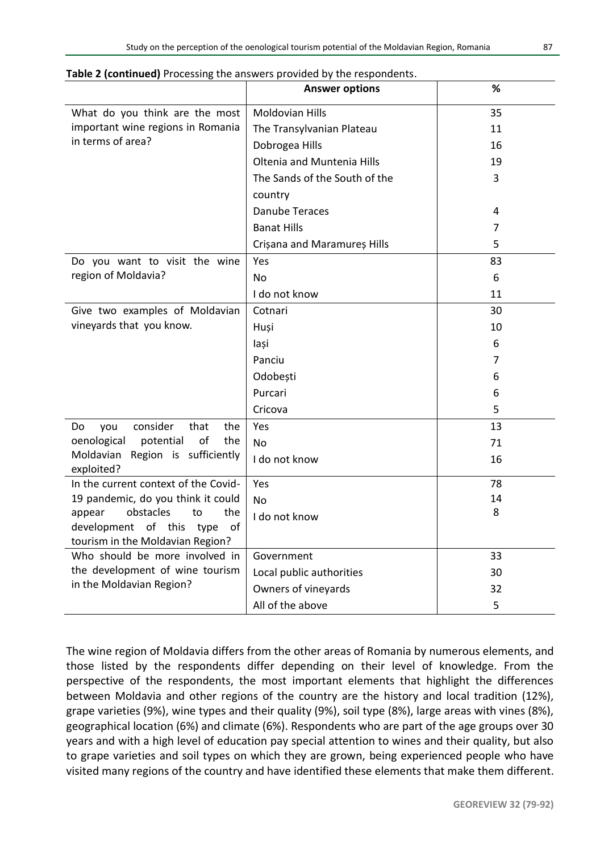|                                                                          | <b>Answer options</b>         | ℅  |
|--------------------------------------------------------------------------|-------------------------------|----|
| What do you think are the most                                           | <b>Moldovian Hills</b>        | 35 |
| important wine regions in Romania                                        | The Transylvanian Plateau     | 11 |
| in terms of area?                                                        | Dobrogea Hills                | 16 |
|                                                                          | Oltenia and Muntenia Hills    | 19 |
|                                                                          | The Sands of the South of the | 3  |
|                                                                          | country                       |    |
|                                                                          | <b>Danube Teraces</b>         | 4  |
|                                                                          | <b>Banat Hills</b>            | 7  |
|                                                                          | Crișana and Maramureș Hills   | 5  |
| Do you want to visit the wine                                            | Yes                           | 83 |
| region of Moldavia?                                                      | No                            | 6  |
|                                                                          | I do not know                 | 11 |
| Give two examples of Moldavian                                           | Cotnari                       | 30 |
| vineyards that you know.                                                 | Huși                          | 10 |
|                                                                          | lași                          | 6  |
|                                                                          | Panciu                        | 7  |
|                                                                          | Odobești                      | 6  |
|                                                                          | Purcari                       | 6  |
|                                                                          | Cricova                       | 5  |
| consider<br>that<br>the<br>Do<br>you                                     | Yes                           | 13 |
| of<br>oenological<br>potential<br>the                                    | No                            | 71 |
| Region is sufficiently<br>Moldavian<br>exploited?                        | I do not know                 | 16 |
| In the current context of the Covid-                                     | Yes                           | 78 |
| 19 pandemic, do you think it could                                       | No                            | 14 |
| obstacles<br>the<br>appear<br>to                                         | I do not know                 | 8  |
| development<br>of this<br>type<br>οf<br>tourism in the Moldavian Region? |                               |    |
| Who should be more involved in                                           | Government                    | 33 |
| the development of wine tourism                                          | Local public authorities      | 30 |
| in the Moldavian Region?                                                 | Owners of vineyards           | 32 |
|                                                                          | All of the above              | 5  |
|                                                                          |                               |    |

**Table 2 (continued)** Processing the answers provided by the respondents.

The wine region of Moldavia differs from the other areas of Romania by numerous elements, and those listed by the respondents differ depending on their level of knowledge. From the perspective of the respondents, the most important elements that highlight the differences between Moldavia and other regions of the country are the history and local tradition (12%), grape varieties (9%), wine types and their quality (9%), soil type (8%), large areas with vines (8%), geographical location (6%) and climate (6%). Respondents who are part of the age groups over 30 years and with a high level of education pay special attention to wines and their quality, but also to grape varieties and soil types on which they are grown, being experienced people who have visited many regions of the country and have identified these elements that make them different.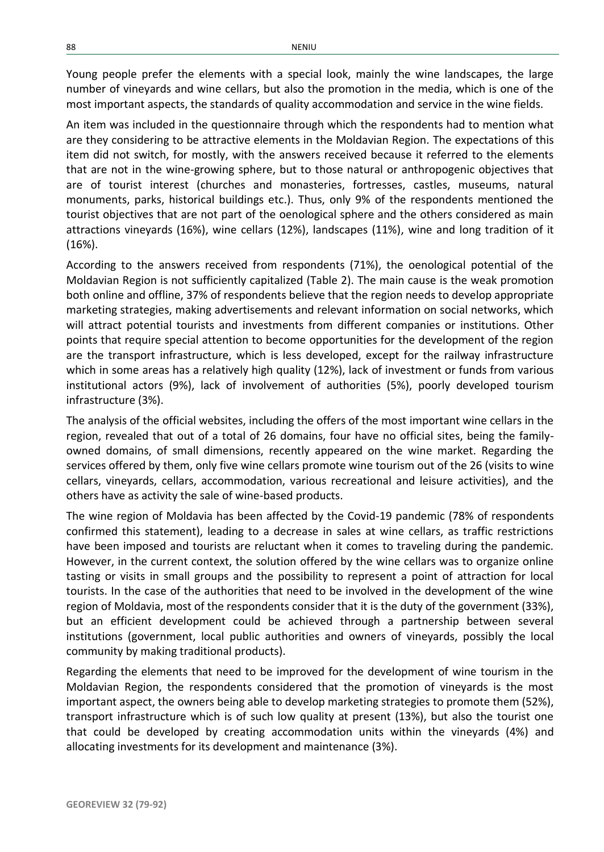Young people prefer the elements with a special look, mainly the wine landscapes, the large number of vineyards and wine cellars, but also the promotion in the media, which is one of the most important aspects, the standards of quality accommodation and service in the wine fields.

An item was included in the questionnaire through which the respondents had to mention what are they considering to be attractive elements in the Moldavian Region. The expectations of this item did not switch, for mostly, with the answers received because it referred to the elements that are not in the wine-growing sphere, but to those natural or anthropogenic objectives that are of tourist interest (churches and monasteries, fortresses, castles, museums, natural monuments, parks, historical buildings etc.). Thus, only 9% of the respondents mentioned the tourist objectives that are not part of the oenological sphere and the others considered as main attractions vineyards (16%), wine cellars (12%), landscapes (11%), wine and long tradition of it (16%).

According to the answers received from respondents (71%), the oenological potential of the Moldavian Region is not sufficiently capitalized (Table 2). The main cause is the weak promotion both online and offline, 37% of respondents believe that the region needs to develop appropriate marketing strategies, making advertisements and relevant information on social networks, which will attract potential tourists and investments from different companies or institutions. Other points that require special attention to become opportunities for the development of the region are the transport infrastructure, which is less developed, except for the railway infrastructure which in some areas has a relatively high quality (12%), lack of investment or funds from various institutional actors (9%), lack of involvement of authorities (5%), poorly developed tourism infrastructure (3%).

The analysis of the official websites, including the offers of the most important wine cellars in the region, revealed that out of a total of 26 domains, four have no official sites, being the familyowned domains, of small dimensions, recently appeared on the wine market. Regarding the services offered by them, only five wine cellars promote wine tourism out of the 26 (visits to wine cellars, vineyards, cellars, accommodation, various recreational and leisure activities), and the others have as activity the sale of wine-based products.

The wine region of Moldavia has been affected by the Covid-19 pandemic (78% of respondents confirmed this statement), leading to a decrease in sales at wine cellars, as traffic restrictions have been imposed and tourists are reluctant when it comes to traveling during the pandemic. However, in the current context, the solution offered by the wine cellars was to organize online tasting or visits in small groups and the possibility to represent a point of attraction for local tourists. In the case of the authorities that need to be involved in the development of the wine region of Moldavia, most of the respondents consider that it is the duty of the government (33%), but an efficient development could be achieved through a partnership between several institutions (government, local public authorities and owners of vineyards, possibly the local community by making traditional products).

Regarding the elements that need to be improved for the development of wine tourism in the Moldavian Region, the respondents considered that the promotion of vineyards is the most important aspect, the owners being able to develop marketing strategies to promote them (52%), transport infrastructure which is of such low quality at present (13%), but also the tourist one that could be developed by creating accommodation units within the vineyards (4%) and allocating investments for its development and maintenance (3%).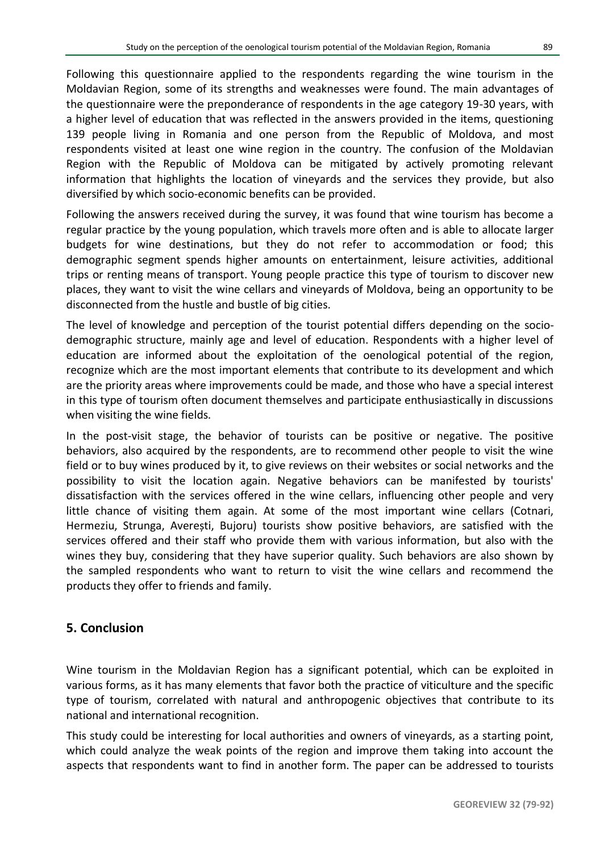Following this questionnaire applied to the respondents regarding the wine tourism in the Moldavian Region, some of its strengths and weaknesses were found. The main advantages of the questionnaire were the preponderance of respondents in the age category 19-30 years, with a higher level of education that was reflected in the answers provided in the items, questioning 139 people living in Romania and one person from the Republic of Moldova, and most respondents visited at least one wine region in the country. The confusion of the Moldavian Region with the Republic of Moldova can be mitigated by actively promoting relevant information that highlights the location of vineyards and the services they provide, but also diversified by which socio-economic benefits can be provided.

Following the answers received during the survey, it was found that wine tourism has become a regular practice by the young population, which travels more often and is able to allocate larger budgets for wine destinations, but they do not refer to accommodation or food; this demographic segment spends higher amounts on entertainment, leisure activities, additional trips or renting means of transport. Young people practice this type of tourism to discover new places, they want to visit the wine cellars and vineyards of Moldova, being an opportunity to be disconnected from the hustle and bustle of big cities.

The level of knowledge and perception of the tourist potential differs depending on the sociodemographic structure, mainly age and level of education. Respondents with a higher level of education are informed about the exploitation of the oenological potential of the region, recognize which are the most important elements that contribute to its development and which are the priority areas where improvements could be made, and those who have a special interest in this type of tourism often document themselves and participate enthusiastically in discussions when visiting the wine fields.

In the post-visit stage, the behavior of tourists can be positive or negative. The positive behaviors, also acquired by the respondents, are to recommend other people to visit the wine field or to buy wines produced by it, to give reviews on their websites or social networks and the possibility to visit the location again. Negative behaviors can be manifested by tourists' dissatisfaction with the services offered in the wine cellars, influencing other people and very little chance of visiting them again. At some of the most important wine cellars (Cotnari, Hermeziu, Strunga, Averești, Bujoru) tourists show positive behaviors, are satisfied with the services offered and their staff who provide them with various information, but also with the wines they buy, considering that they have superior quality. Such behaviors are also shown by the sampled respondents who want to return to visit the wine cellars and recommend the products they offer to friends and family.

## **5. Conclusion**

Wine tourism in the Moldavian Region has a significant potential, which can be exploited in various forms, as it has many elements that favor both the practice of viticulture and the specific type of tourism, correlated with natural and anthropogenic objectives that contribute to its national and international recognition.

This study could be interesting for local authorities and owners of vineyards, as a starting point, which could analyze the weak points of the region and improve them taking into account the aspects that respondents want to find in another form. The paper can be addressed to tourists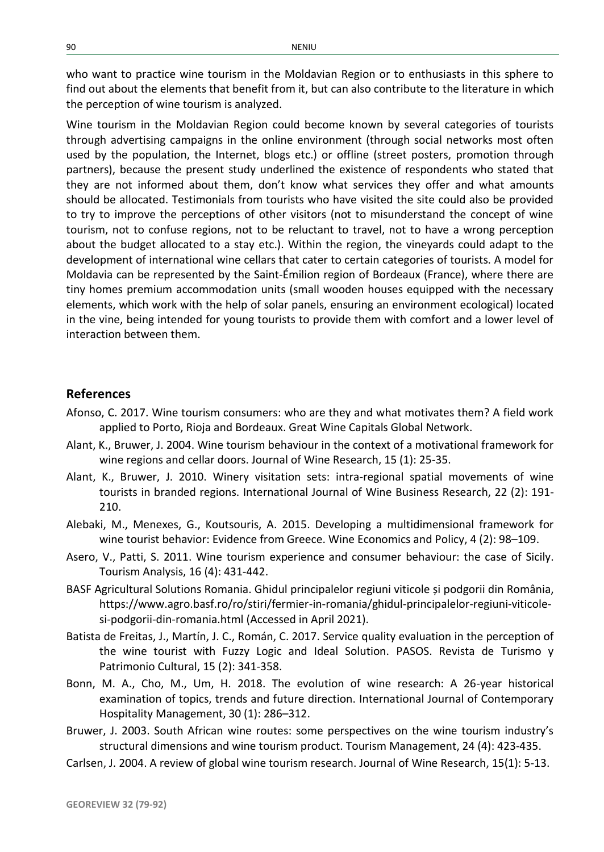who want to practice wine tourism in the Moldavian Region or to enthusiasts in this sphere to find out about the elements that benefit from it, but can also contribute to the literature in which the perception of wine tourism is analyzed.

Wine tourism in the Moldavian Region could become known by several categories of tourists through advertising campaigns in the online environment (through social networks most often used by the population, the Internet, blogs etc.) or offline (street posters, promotion through partners), because the present study underlined the existence of respondents who stated that they are not informed about them, don't know what services they offer and what amounts should be allocated. Testimonials from tourists who have visited the site could also be provided to try to improve the perceptions of other visitors (not to misunderstand the concept of wine tourism, not to confuse regions, not to be reluctant to travel, not to have a wrong perception about the budget allocated to a stay etc.). Within the region, the vineyards could adapt to the development of international wine cellars that cater to certain categories of tourists. A model for Moldavia can be represented by the Saint-Émilion region of Bordeaux (France), where there are tiny homes premium accommodation units (small wooden houses equipped with the necessary elements, which work with the help of solar panels, ensuring an environment ecological) located in the vine, being intended for young tourists to provide them with comfort and a lower level of interaction between them.

#### **References**

- Afonso, C. 2017. Wine tourism consumers: who are they and what motivates them? A field work applied to Porto, Rioja and Bordeaux. Great Wine Capitals Global Network.
- Alant, K., Bruwer, J. 2004. Wine tourism behaviour in the context of a motivational framework for wine regions and cellar doors. Journal of Wine Research, 15 (1): 25-35.
- Alant, K., Bruwer, J. 2010. Winery visitation sets: intra-regional spatial movements of wine tourists in branded regions. International Journal of Wine Business Research, 22 (2): 191- 210.
- Alebaki, M., Menexes, G., Koutsouris, A. 2015. Developing a multidimensional framework for wine tourist behavior: Evidence from Greece. Wine Economics and Policy, 4 (2): 98–109.
- Asero, V., Patti, S. 2011. Wine tourism experience and consumer behaviour: the case of Sicily. Tourism Analysis, 16 (4): 431-442.
- BASF Agricultural Solutions Romania. Ghidul principalelor regiuni viticole și podgorii din România, https://www.agro.basf.ro/ro/stiri/fermier-in-romania/ghidul-principalelor-regiuni-viticolesi-podgorii-din-romania.html (Accessed in April 2021).
- Batista de Freitas, J., Martín, J. C., Román, C. 2017. Service quality evaluation in the perception of the wine tourist with Fuzzy Logic and Ideal Solution. PASOS. Revista de Turismo y Patrimonio Cultural, 15 (2): 341-358.
- Bonn, M. A., Cho, M., Um, H. 2018. The evolution of wine research: A 26-year historical examination of topics, trends and future direction. International Journal of Contemporary Hospitality Management, 30 (1): 286–312.
- Bruwer, J. 2003. South African wine routes: some perspectives on the wine tourism industry's structural dimensions and wine tourism product. Tourism Management, 24 (4): 423-435.
- Carlsen, J. 2004. A review of global wine tourism research. Journal of Wine Research, 15(1): 5-13.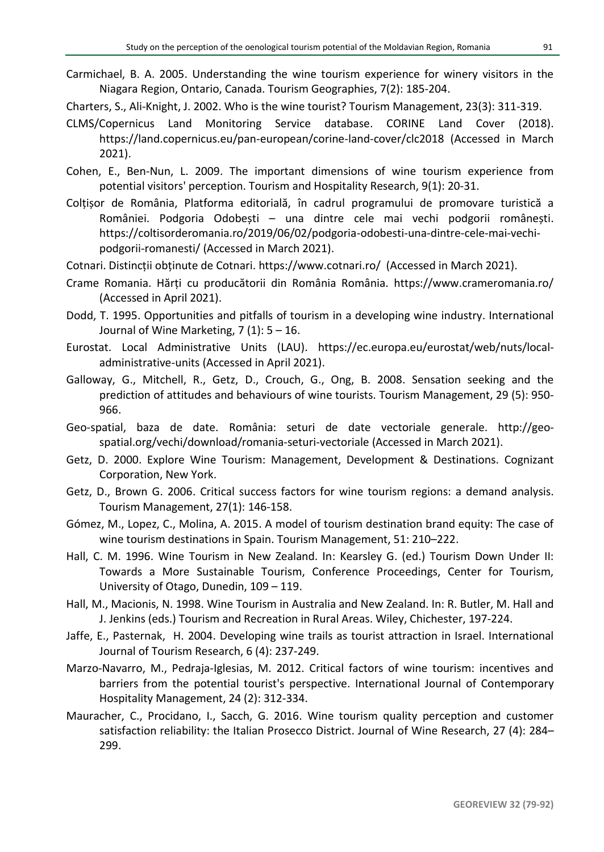Carmichael, B. A. 2005. Understanding the wine tourism experience for winery visitors in the Niagara Region, Ontario, Canada. Tourism Geographies, 7(2): 185-204.

Charters, S., Ali-Knight, J. 2002. Who is the wine tourist? Tourism Management, 23(3): 311-319.

- CLMS/Copernicus Land Monitoring Service database. CORINE Land Cover (2018). https://land.copernicus.eu/pan-european/corine-land-cover/clc2018 (Accessed in March 2021).
- Cohen, E., Ben-Nun, L. 2009. The important dimensions of wine tourism experience from potential visitors' perception. Tourism and Hospitality Research, 9(1): 20-31.
- Colțișor de România, Platforma editorială, în cadrul programului de promovare turistică a României. Podgoria Odobești – una dintre cele mai vechi podgorii românești. https://coltisorderomania.ro/2019/06/02/podgoria-odobesti-una-dintre-cele-mai-vechipodgorii-romanesti/ (Accessed in March 2021).
- Cotnari. Distincții obținute de Cotnari. https://www.cotnari.ro/ (Accessed in March 2021).
- Crame Romania. Hărți cu producătorii din România România. https://www.crameromania.ro/ (Accessed in April 2021).
- Dodd, T. 1995. Opportunities and pitfalls of tourism in a developing wine industry. International Journal of Wine Marketing,  $7(1)$ :  $5 - 16$ .
- Eurostat. Local Administrative Units (LAU). https://ec.europa.eu/eurostat/web/nuts/localadministrative-units (Accessed in April 2021).
- Galloway, G., Mitchell, R., Getz, D., Crouch, G., Ong, B. 2008. Sensation seeking and the prediction of attitudes and behaviours of wine tourists. Tourism Management, 29 (5): 950- 966.
- Geo-spatial, baza de date. România: seturi de date vectoriale generale. http://geospatial.org/vechi/download/romania-seturi-vectoriale (Accessed in March 2021).
- Getz, D. 2000. Explore Wine Tourism: Management, Development & Destinations. Cognizant Corporation, New York.
- Getz, D., Brown G. 2006. Critical success factors for wine tourism regions: a demand analysis. Tourism Management, 27(1): 146-158.
- Gómez, M., Lopez, C., Molina, A. 2015. A model of tourism destination brand equity: The case of wine tourism destinations in Spain. Tourism Management, 51: 210–222.
- Hall, C. M. 1996. Wine Tourism in New Zealand. In: Kearsley G. (ed.) Tourism Down Under II: Towards a More Sustainable Tourism, Conference Proceedings, Center for Tourism, University of Otago, Dunedin, 109 – 119.
- Hall, M., Macionis, N. 1998. Wine Tourism in Australia and New Zealand. In: R. Butler, M. Hall and J. Jenkins (eds.) Tourism and Recreation in Rural Areas. Wiley, Chichester, 197-224.
- Jaffe, E., Pasternak, H. 2004. Developing wine trails as tourist attraction in Israel. International Journal of Tourism Research, 6 (4): 237-249.
- Marzo-Navarro, M., Pedraja-Iglesias, M. 2012. Critical factors of wine tourism: incentives and barriers from the potential tourist's perspective. International Journal of Contemporary Hospitality Management, 24 (2): 312-334.
- Mauracher, C., Procidano, I., Sacch, G. 2016. Wine tourism quality perception and customer satisfaction reliability: the Italian Prosecco District. Journal of Wine Research, 27 (4): 284– 299.